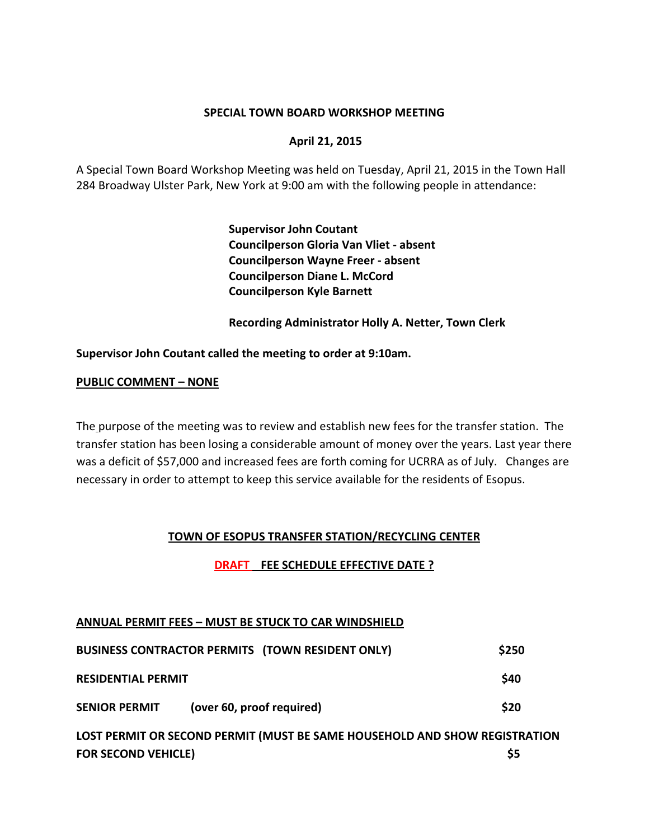### **SPECIAL TOWN BOARD WORKSHOP MEETING**

### **April 21, 2015**

A Special Town Board Workshop Meeting was held on Tuesday, April 21, 2015 in the Town Hall 284 Broadway Ulster Park, New York at 9:00 am with the following people in attendance:

> **Supervisor John Coutant Councilperson Gloria Van Vliet ‐ absent Councilperson Wayne Freer ‐ absent Councilperson Diane L. McCord Councilperson Kyle Barnett**

 **Recording Administrator Holly A. Netter, Town Clerk**

#### **Supervisor John Coutant called the meeting to order at 9:10am.**

#### **PUBLIC COMMENT – NONE**

The purpose of the meeting was to review and establish new fees for the transfer station. The transfer station has been losing a considerable amount of money over the years. Last year there was a deficit of \$57,000 and increased fees are forth coming for UCRRA as of July. Changes are necessary in order to attempt to keep this service available for the residents of Esopus.

### **TOWN OF ESOPUS TRANSFER STATION/RECYCLING CENTER**

### **DRAFT FEE SCHEDULE EFFECTIVE DATE ?**

### **ANNUAL PERMIT FEES – MUST BE STUCK TO CAR WINDSHIELD**

|                           | BUSINESS CONTRACTOR PERMITS (TOWN RESIDENT ONLY) | \$250 |
|---------------------------|--------------------------------------------------|-------|
| <b>RESIDENTIAL PERMIT</b> |                                                  | \$40  |
| <b>SENIOR PERMIT</b>      | (over 60, proof required)                        | \$20  |

**LOST PERMIT OR SECOND PERMIT (MUST BE SAME HOUSEHOLD AND SHOW REGISTRATION FOR SECOND VEHICLE) \$5**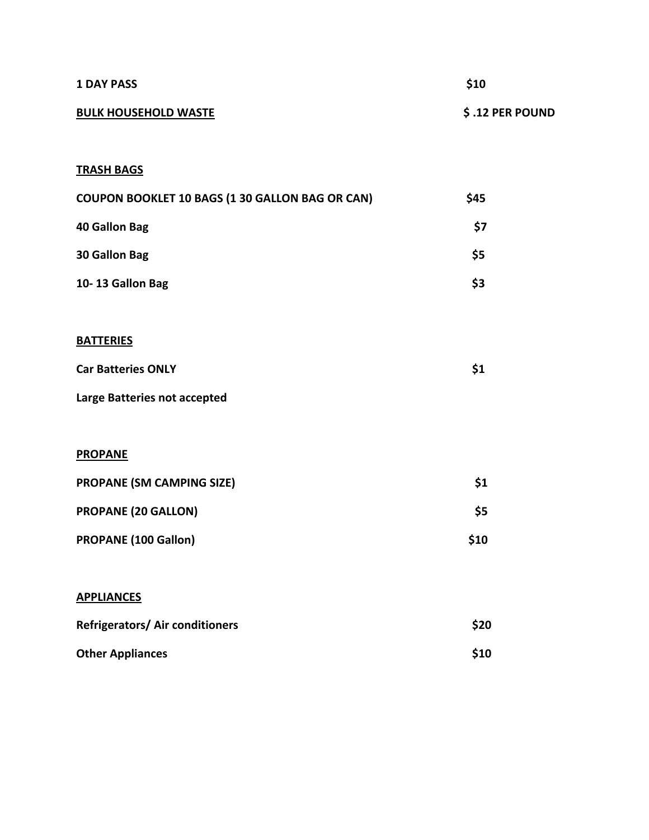| <b>1 DAY PASS</b>                               | \$10            |  |
|-------------------------------------------------|-----------------|--|
| <b>BULK HOUSEHOLD WASTE</b>                     | \$.12 PER POUND |  |
| <b>TRASH BAGS</b>                               |                 |  |
| COUPON BOOKLET 10 BAGS (1 30 GALLON BAG OR CAN) | \$45            |  |
| <b>40 Gallon Bag</b>                            | \$7             |  |
| 30 Gallon Bag                                   | \$5             |  |
| 10-13 Gallon Bag                                | \$3             |  |
| <b>BATTERIES</b>                                |                 |  |
| <b>Car Batteries ONLY</b>                       | \$1             |  |
| Large Batteries not accepted                    |                 |  |
| <b>PROPANE</b>                                  |                 |  |
| PROPANE (SM CAMPING SIZE)                       | \$1             |  |
| <b>PROPANE (20 GALLON)</b>                      | \$5             |  |
| PROPANE (100 Gallon)                            | \$10            |  |
| <b>APPLIANCES</b>                               |                 |  |
| Refrigerators/ Air conditioners                 | \$20            |  |
| <b>Other Appliances</b>                         | \$10            |  |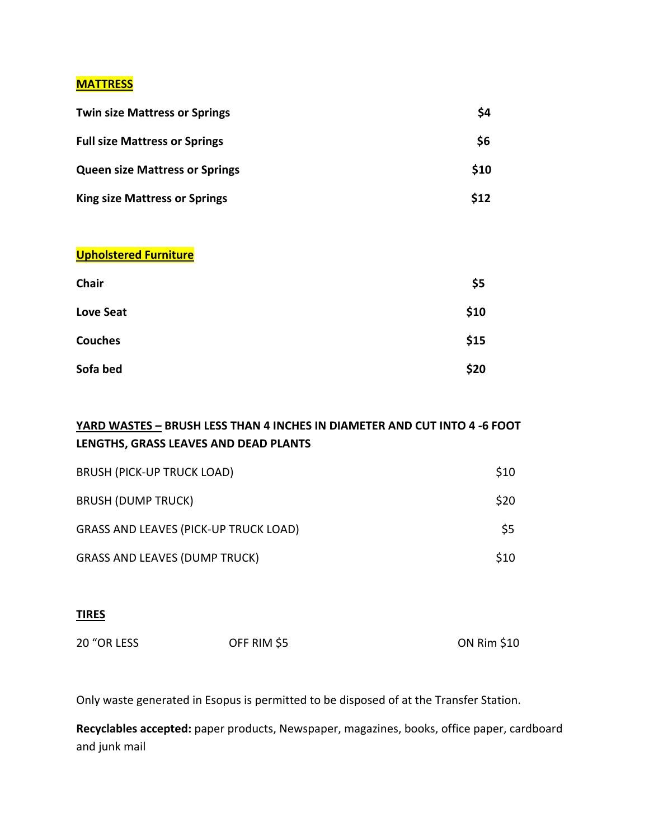# **MATTRESS**

| <b>Twin size Mattress or Springs</b>  | \$4  |
|---------------------------------------|------|
| <b>Full size Mattress or Springs</b>  | \$6  |
| <b>Queen size Mattress or Springs</b> | \$10 |
| <b>King size Mattress or Springs</b>  | \$12 |
|                                       |      |

## **Upholstered Furniture**

| Chair          | \$5  |
|----------------|------|
| Love Seat      | \$10 |
| <b>Couches</b> | \$15 |
| Sofa bed       | \$20 |

# **YARD WASTES – BRUSH LESS THAN 4 INCHES IN DIAMETER AND CUT INTO 4 ‐6 FOOT LENGTHS, GRASS LEAVES AND DEAD PLANTS**

| <b>BRUSH (PICK-UP TRUCK LOAD)</b>            | \$10 |
|----------------------------------------------|------|
| <b>BRUSH (DUMP TRUCK)</b>                    | \$20 |
| <b>GRASS AND LEAVES (PICK-UP TRUCK LOAD)</b> | \$5  |
| <b>GRASS AND LEAVES (DUMP TRUCK)</b>         | \$10 |

# **TIRES**

| 20 "OR LESS | OFF RIM \$5 | <b>ON Rim \$10</b> |
|-------------|-------------|--------------------|
|             |             |                    |

Only waste generated in Esopus is permitted to be disposed of at the Transfer Station.

**Recyclables accepted:** paper products, Newspaper, magazines, books, office paper, cardboard and junk mail